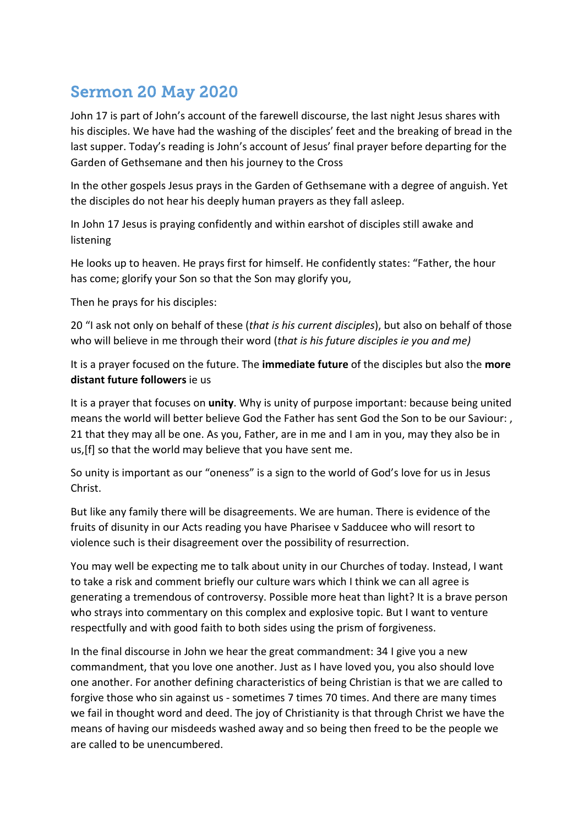## Sermon 20 May 2020

John 17 is part of John's account of the farewell discourse, the last night Jesus shares with his disciples. We have had the washing of the disciples' feet and the breaking of bread in the last supper. Today's reading is John's account of Jesus' final prayer before departing for the Garden of Gethsemane and then his journey to the Cross

In the other gospels Jesus prays in the Garden of Gethsemane with a degree of anguish. Yet the disciples do not hear his deeply human prayers as they fall asleep.

In John 17 Jesus is praying confidently and within earshot of disciples still awake and listening

He looks up to heaven. He prays first for himself. He confidently states: "Father, the hour has come; glorify your Son so that the Son may glorify you,

Then he prays for his disciples:

20 "I ask not only on behalf of these (*that is his current disciples*), but also on behalf of those who will believe in me through their word (*that is his future disciples ie you and me)* 

It is a prayer focused on the future. The **immediate future** of the disciples but also the **more distant future followers** ie us

It is a prayer that focuses on **unity**. Why is unity of purpose important: because being united means the world will better believe God the Father has sent God the Son to be our Saviour: , 21 that they may all be one. As you, Father, are in me and I am in you, may they also be in us,[f] so that the world may believe that you have sent me.

So unity is important as our "oneness" is a sign to the world of God's love for us in Jesus Christ.

But like any family there will be disagreements. We are human. There is evidence of the fruits of disunity in our Acts reading you have Pharisee v Sadducee who will resort to violence such is their disagreement over the possibility of resurrection.

You may well be expecting me to talk about unity in our Churches of today. Instead, I want to take a risk and comment briefly our culture wars which I think we can all agree is generating a tremendous of controversy. Possible more heat than light? It is a brave person who strays into commentary on this complex and explosive topic. But I want to venture respectfully and with good faith to both sides using the prism of forgiveness.

In the final discourse in John we hear the great commandment: 34 I give you a new commandment, that you love one another. Just as I have loved you, you also should love one another. For another defining characteristics of being Christian is that we are called to forgive those who sin against us - sometimes 7 times 70 times. And there are many times we fail in thought word and deed. The joy of Christianity is that through Christ we have the means of having our misdeeds washed away and so being then freed to be the people we are called to be unencumbered.